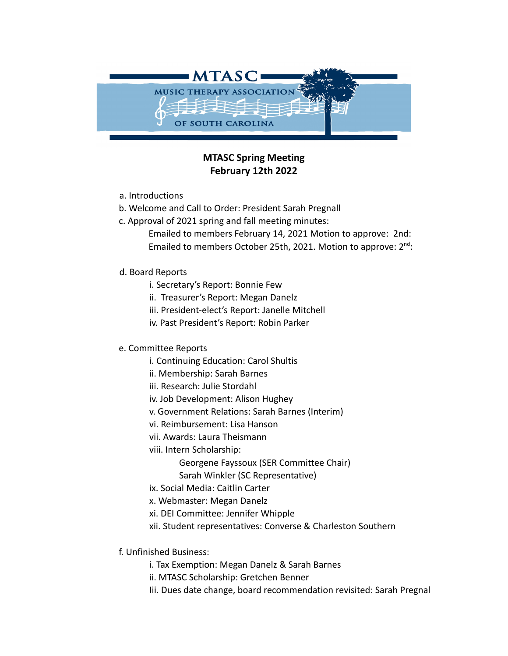

## **MTASC Spring Meeting February 12th 2022**

- a. Introductions
- b. Welcome and Call to Order: President Sarah Pregnall
- c. Approval of 2021 spring and fall meeting minutes:
	- Emailed to members February 14, 2021 Motion to approve: 2nd: Emailed to members October 25th, 2021. Motion to approve: 2<sup>nd</sup>:
- d. Board Reports
	- i. Secretary's Report: Bonnie Few
	- ii. Treasurer's Report: Megan Danelz
	- iii. President-elect's Report: Janelle Mitchell
	- iv. Past President's Report: Robin Parker

## e. Committee Reports

- i. Continuing Education: Carol Shultis
- ii. Membership: Sarah Barnes
- iii. Research: Julie Stordahl
- iv. Job Development: Alison Hughey
- v. Government Relations: Sarah Barnes (Interim)
- vi. Reimbursement: Lisa Hanson
- vii. Awards: Laura Theismann
- viii. Intern Scholarship:
	- Georgene Fayssoux (SER Committee Chair)
	- Sarah Winkler (SC Representative)
- ix. Social Media: Caitlin Carter
- x. Webmaster: Megan Danelz
- xi. DEI Committee: Jennifer Whipple
- xii. Student representatives: Converse & Charleston Southern
- f. Unfinished Business:
	- i. Tax Exemption: Megan Danelz & Sarah Barnes
	- ii. MTASC Scholarship: Gretchen Benner
	- Iii. Dues date change, board recommendation revisited: Sarah Pregnal